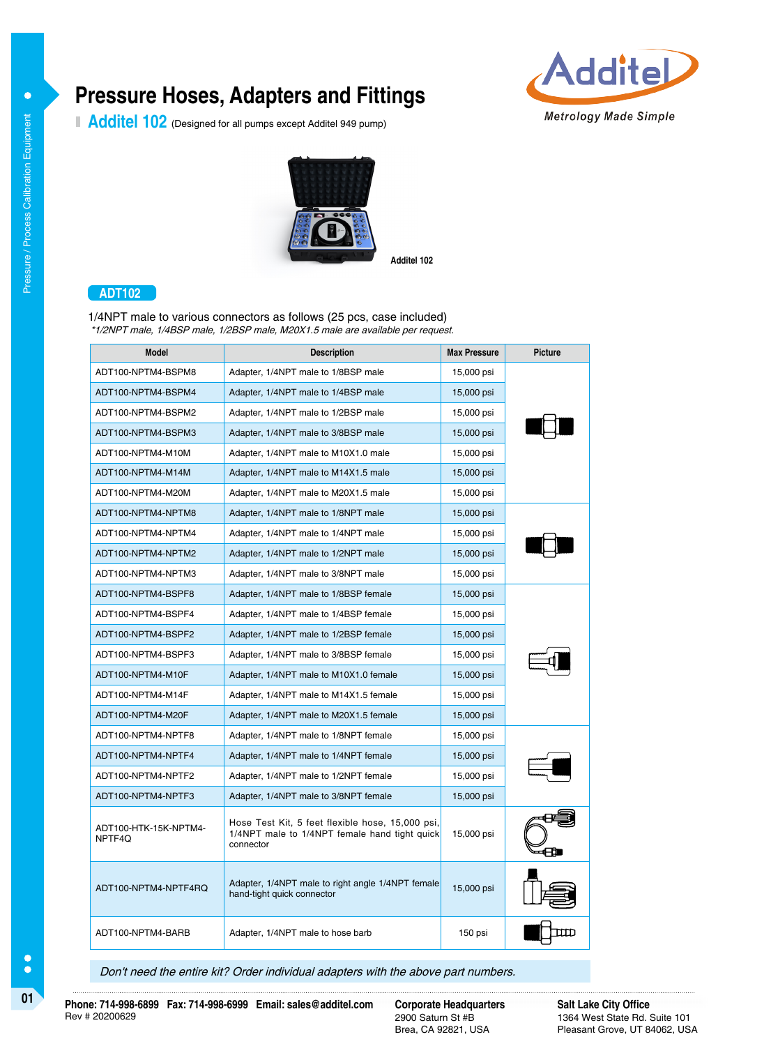# **Pressure Hoses, Adapters and Fittings**

Additel 102 (Designed for all pumps except Additel 949 pump)





**Additel 102**

## **ADT102**

1/4NPT male to various connectors as follows (25 pcs, case included) \*1/2NPT male, 1/4BSP male, 1/2BSP male, M20X1.5 male are available per request.

| <b>Model</b>                    | <b>Description</b>                                                                                             | <b>Max Pressure</b> | <b>Picture</b> |
|---------------------------------|----------------------------------------------------------------------------------------------------------------|---------------------|----------------|
| ADT100-NPTM4-BSPM8              | Adapter, 1/4NPT male to 1/8BSP male                                                                            | 15,000 psi          |                |
| ADT100-NPTM4-BSPM4              | Adapter, 1/4NPT male to 1/4BSP male                                                                            | 15,000 psi          |                |
| ADT100-NPTM4-BSPM2              | Adapter, 1/4NPT male to 1/2BSP male                                                                            | 15,000 psi          |                |
| ADT100-NPTM4-BSPM3              | Adapter, 1/4NPT male to 3/8BSP male                                                                            | 15,000 psi          |                |
| ADT100-NPTM4-M10M               | Adapter, 1/4NPT male to M10X1.0 male                                                                           | 15,000 psi          |                |
| ADT100-NPTM4-M14M               | Adapter, 1/4NPT male to M14X1.5 male                                                                           | 15,000 psi          |                |
| ADT100-NPTM4-M20M               | Adapter, 1/4NPT male to M20X1.5 male                                                                           | 15,000 psi          |                |
| ADT100-NPTM4-NPTM8              | Adapter, 1/4NPT male to 1/8NPT male                                                                            | 15,000 psi          |                |
| ADT100-NPTM4-NPTM4              | Adapter, 1/4NPT male to 1/4NPT male                                                                            | 15,000 psi          |                |
| ADT100-NPTM4-NPTM2              | Adapter, 1/4NPT male to 1/2NPT male                                                                            | 15,000 psi          |                |
| ADT100-NPTM4-NPTM3              | Adapter, 1/4NPT male to 3/8NPT male                                                                            | 15,000 psi          |                |
| ADT100-NPTM4-BSPF8              | Adapter, 1/4NPT male to 1/8BSP female                                                                          | 15,000 psi          |                |
| ADT100-NPTM4-BSPF4              | Adapter, 1/4NPT male to 1/4BSP female                                                                          | 15,000 psi          |                |
| ADT100-NPTM4-BSPF2              | Adapter, 1/4NPT male to 1/2BSP female                                                                          | 15,000 psi          |                |
| ADT100-NPTM4-BSPF3              | Adapter, 1/4NPT male to 3/8BSP female                                                                          | 15,000 psi          |                |
| ADT100-NPTM4-M10F               | Adapter, 1/4NPT male to M10X1.0 female                                                                         | 15,000 psi          |                |
| ADT100-NPTM4-M14F               | Adapter, 1/4NPT male to M14X1.5 female                                                                         | 15,000 psi          |                |
| ADT100-NPTM4-M20F               | Adapter, 1/4NPT male to M20X1.5 female                                                                         | 15,000 psi          |                |
| ADT100-NPTM4-NPTF8              | Adapter, 1/4NPT male to 1/8NPT female                                                                          | 15,000 psi          |                |
| ADT100-NPTM4-NPTF4              | Adapter, 1/4NPT male to 1/4NPT female                                                                          | 15,000 psi          |                |
| ADT100-NPTM4-NPTF2              | Adapter, 1/4NPT male to 1/2NPT female                                                                          | 15,000 psi          |                |
| ADT100-NPTM4-NPTF3              | Adapter, 1/4NPT male to 3/8NPT female                                                                          | 15,000 psi          |                |
| ADT100-HTK-15K-NPTM4-<br>NPTF4Q | Hose Test Kit, 5 feet flexible hose, 15,000 psi,<br>1/4NPT male to 1/4NPT female hand tight quick<br>connector | 15,000 psi          |                |
| ADT100-NPTM4-NPTF4RQ            | Adapter, 1/4NPT male to right angle 1/4NPT female<br>hand-tight quick connector                                | 15,000 psi          |                |
| ADT100-NPTM4-BARB               | Adapter, 1/4NPT male to hose barb                                                                              | 150 psi             |                |

Don't need the entire kit? Order individual adapters with the above part numbers.

 $\bullet$ 

**01 Corporate Corporate Headquarters Corporate Headquarters**<br> **Phone: 714-998-6899 Fax: 714-998-6999 Email: sales@additel.com Corporate Headquarters** Rev # 20200629

2900 Saturn St #B Brea, CA 92821, USA **Salt Lake City Office** 1364 West State Rd. Suite 101 Pleasant Grove, UT 84062, USA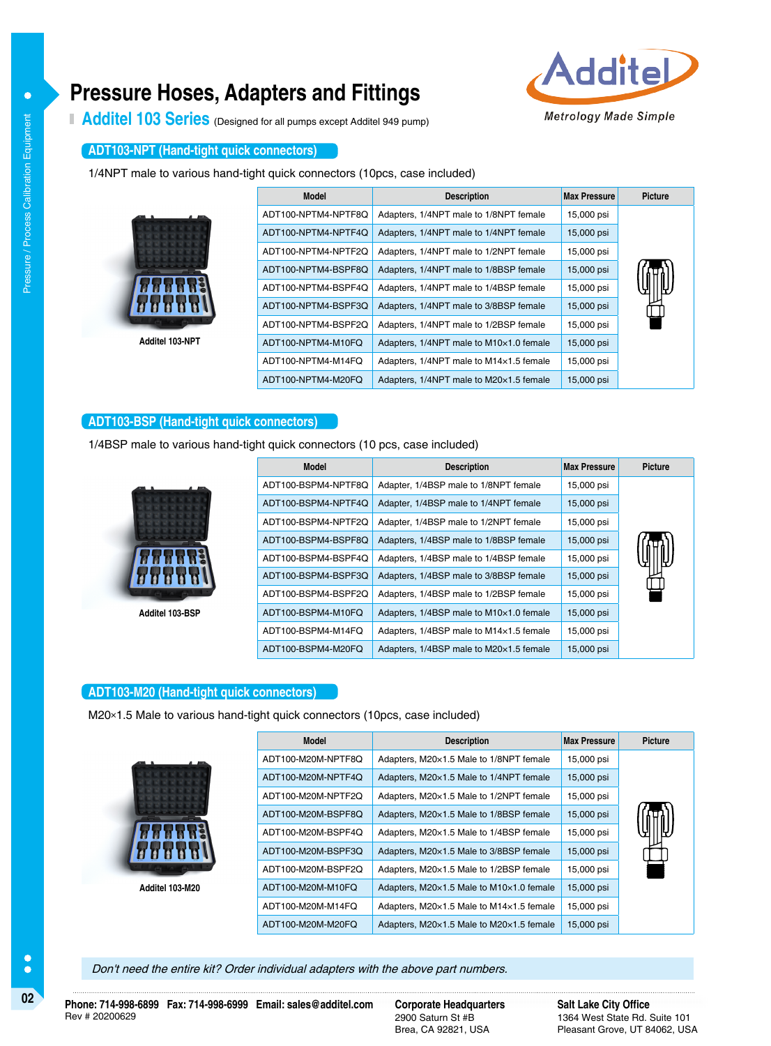## **Pressure Hoses, Adapters and Fittings**



Additel 103 Series (Designed for all pumps except Additel 949 pump)

#### **ADT103-NPT (Hand-tight quick connectors)**

1/4NPT male to various hand-tight quick connectors (10pcs, case included)

| Model               | <b>Description</b>                      | <b>Max Pressure</b> | <b>Picture</b> |
|---------------------|-----------------------------------------|---------------------|----------------|
| ADT100-NPTM4-NPTF8Q | Adapters, 1/4NPT male to 1/8NPT female  | 15,000 psi          |                |
| ADT100-NPTM4-NPTF4Q | Adapters, 1/4NPT male to 1/4NPT female  | 15,000 psi          |                |
| ADT100-NPTM4-NPTF2Q | Adapters, 1/4NPT male to 1/2NPT female  | 15,000 psi          |                |
| ADT100-NPTM4-BSPF8Q | Adapters, 1/4NPT male to 1/8BSP female  | 15,000 psi          |                |
| ADT100-NPTM4-BSPF4Q | Adapters, 1/4NPT male to 1/4BSP female  | 15,000 psi          |                |
| ADT100-NPTM4-BSPF3Q | Adapters, 1/4NPT male to 3/8BSP female  | 15,000 psi          |                |
| ADT100-NPTM4-BSPF2Q | Adapters, 1/4NPT male to 1/2BSP female  | 15,000 psi          |                |
| ADT100-NPTM4-M10FQ  | Adapters, 1/4NPT male to M10×1.0 female | 15,000 psi          |                |
| ADT100-NPTM4-M14FQ  | Adapters, 1/4NPT male to M14×1.5 female | 15,000 psi          |                |
| ADT100-NPTM4-M20FQ  | Adapters, 1/4NPT male to M20×1.5 female | 15,000 psi          |                |

#### **ADT103-BSP (Hand-tight quick connectors)**

1/4BSP male to various hand-tight quick connectors (10 pcs, case included)



**Additel 103-NPT**

**Additel 103-BSP**

| <b>Model</b>        | <b>Description</b>                      | <b>Max Pressure</b> | <b>Picture</b> |
|---------------------|-----------------------------------------|---------------------|----------------|
| ADT100-BSPM4-NPTF8Q | Adapter, 1/4BSP male to 1/8NPT female   | 15,000 psi          |                |
| ADT100-BSPM4-NPTF4Q | Adapter, 1/4BSP male to 1/4NPT female   | 15,000 psi          |                |
| ADT100-BSPM4-NPTF2Q | Adapter, 1/4BSP male to 1/2NPT female   | 15,000 psi          |                |
| ADT100-BSPM4-BSPF8Q | Adapters, 1/4BSP male to 1/8BSP female  | 15,000 psi          |                |
| ADT100-BSPM4-BSPF4O | Adapters, 1/4BSP male to 1/4BSP female  | 15,000 psi          |                |
| ADT100-BSPM4-BSPF3Q | Adapters, 1/4BSP male to 3/8BSP female  | 15,000 psi          |                |
| ADT100-BSPM4-BSPF2Q | Adapters, 1/4BSP male to 1/2BSP female  | 15,000 psi          |                |
| ADT100-BSPM4-M10FO  | Adapters, 1/4BSP male to M10×1.0 female | 15,000 psi          |                |
| ADT100-BSPM4-M14FO  | Adapters, 1/4BSP male to M14×1.5 female | 15,000 psi          |                |
| ADT100-BSPM4-M20FO  | Adapters, 1/4BSP male to M20×1.5 female | 15,000 psi          |                |

#### **ADT103-M20 (Hand-tight quick connectors)**

M20×1.5 Male to various hand-tight quick connectors (10pcs, case included)



**Additel 103-M20**

| <b>Model</b>       | <b>Description</b>                       | <b>Max Pressure</b> | <b>Picture</b> |
|--------------------|------------------------------------------|---------------------|----------------|
| ADT100-M20M-NPTF8Q | Adapters, M20×1.5 Male to 1/8NPT female  | 15,000 psi          |                |
| ADT100-M20M-NPTF4Q | Adapters, M20×1.5 Male to 1/4NPT female  | 15,000 psi          |                |
| ADT100-M20M-NPTF2Q | Adapters, M20×1.5 Male to 1/2NPT female  | 15,000 psi          |                |
| ADT100-M20M-BSPF8O | Adapters, M20×1.5 Male to 1/8BSP female  | 15,000 psi          |                |
| ADT100-M20M-BSPF4Q | Adapters, M20×1.5 Male to 1/4BSP female  | 15,000 psi          |                |
| ADT100-M20M-BSPF3Q | Adapters, M20×1.5 Male to 3/8BSP female  | 15,000 psi          |                |
| ADT100-M20M-BSPF2Q | Adapters, M20×1.5 Male to 1/2BSP female  | 15,000 psi          |                |
| ADT100-M20M-M10FO  | Adapters, M20×1.5 Male to M10×1.0 female | 15,000 psi          |                |
| ADT100-M20M-M14FO  | Adapters, M20×1.5 Male to M14×1.5 female | 15,000 psi          |                |
| ADT100-M20M-M20FO  | Adapters, M20×1.5 Male to M20×1.5 female | 15,000 psi          |                |

Don't need the entire kit? Order individual adapters with the above part numbers.

 $\bullet$ 

 $\bullet$  $\bullet$ 

2900 Saturn St #B Brea, CA 92821, USA